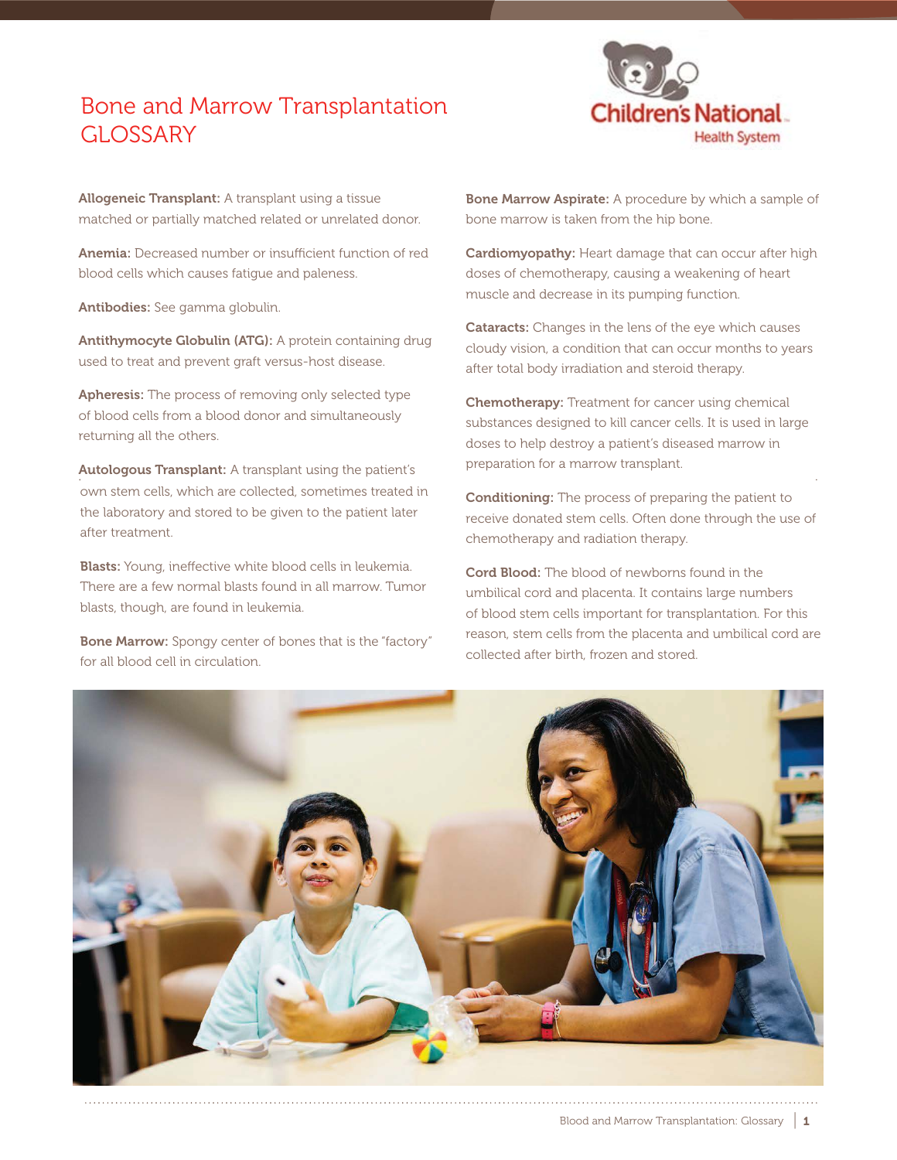## Bone and Marrow Transplantation GLOSSARY



Allogeneic Transplant: A transplant using a tissue matched or partially matched related or unrelated donor.

Anemia: Decreased number or insufficient function of red blood cells which causes fatigue and paleness.

Antibodies: See gamma globulin.

Antithymocyte Globulin (ATG): A protein containing drug used to treat and prevent graft versus-host disease.

Apheresis: The process of removing only selected type of blood cells from a blood donor and simultaneously returning all the others.

Autologous Transplant: A transplant using the patient's own stem cells, which are collected, sometimes treated in the laboratory and stored to be given to the patient later after treatment.

Blasts: Young, ineffective white blood cells in leukemia. There are a few normal blasts found in all marrow. Tumor blasts, though, are found in leukemia.

**Bone Marrow:** Spongy center of bones that is the "factory" for all blood cell in circulation.

Bone Marrow Aspirate: A procedure by which a sample of bone marrow is taken from the hip bone.

Cardiomyopathy: Heart damage that can occur after high doses of chemotherapy, causing a weakening of heart muscle and decrease in its pumping function.

**Cataracts:** Changes in the lens of the eye which causes cloudy vision, a condition that can occur months to years after total body irradiation and steroid therapy.

Chemotherapy: Treatment for cancer using chemical substances designed to kill cancer cells. It is used in large doses to help destroy a patient's diseased marrow in preparation for a marrow transplant.

Conditioning: The process of preparing the patient to receive donated stem cells. Often done through the use of chemotherapy and radiation therapy.

Cord Blood: The blood of newborns found in the umbilical cord and placenta. It contains large numbers of blood stem cells important for transplantation. For this reason, stem cells from the placenta and umbilical cord are collected after birth, frozen and stored.

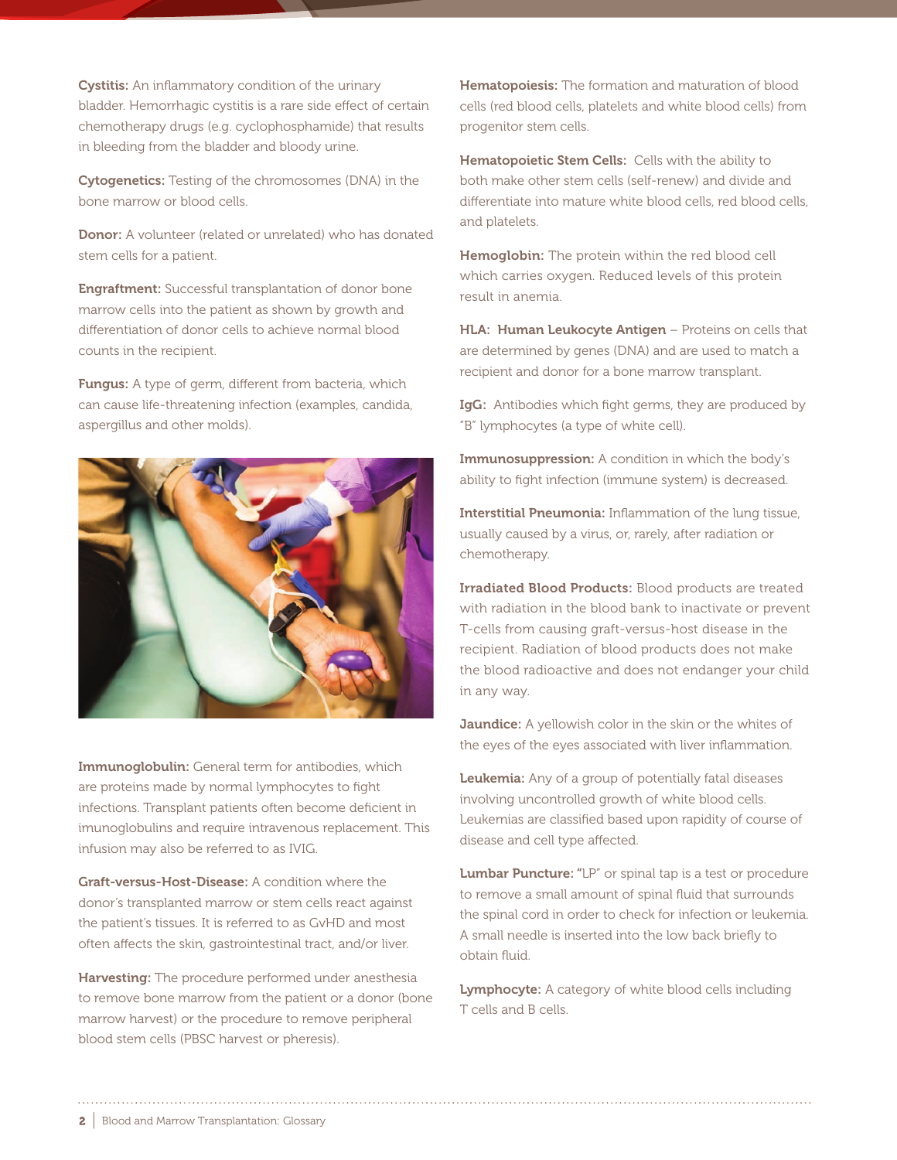Cystitis: An inflammatory condition of the urinary bladder. Hemorrhagic cystitis is a rare side effect of certain chemotherapy drugs (e.g. cyclophosphamide) that results in bleeding from the bladder and bloody urine.

Cytogenetics: Testing of the chromosomes (DNA) in the bone marrow or blood cells.

Donor: A volunteer (related or unrelated) who has donated stem cells for a patient.

**Engraftment:** Successful transplantation of donor bone marrow cells into the patient as shown by growth and differentiation of donor cells to achieve normal blood counts in the recipient.

Fungus: A type of germ, different from bacteria, which can cause life-threatening infection (examples, candida, aspergillus and other molds).



Immunoglobulin: General term for antibodies, which are proteins made by normal lymphocytes to fight infections. Transplant patients often become deficient in imunoglobulins and require intravenous replacement. This infusion may also be referred to as IVIG.

Graft-versus-Host-Disease: A condition where the donor's transplanted marrow or stem cells react against the patient's tissues. It is referred to as GvHD and most often affects the skin, gastrointestinal tract, and/or liver.

Harvesting: The procedure performed under anesthesia to remove bone marrow from the patient or a donor (bone marrow harvest) or the procedure to remove peripheral blood stem cells (PBSC harvest or pheresis).

**Hematopoiesis:** The formation and maturation of blood cells (red blood cells, platelets and white blood cells) from progenitor stem cells.

Hematopoietic Stem Cells: Cells with the ability to both make other stem cells (self-renew) and divide and differentiate into mature white blood cells, red blood cells, and platelets.

Hemoglobin: The protein within the red blood cell which carries oxygen. Reduced levels of this protein result in anemia.

HLA: Human Leukocyte Antigen - Proteins on cells that are determined by genes (DNA) and are used to match a recipient and donor for a bone marrow transplant.

IgG: Antibodies which fight germs, they are produced by "B" lymphocytes (a type of white cell).

Immunosuppression: A condition in which the body's ability to fight infection (immune system) is decreased.

Interstitial Pneumonia: Inflammation of the lung tissue, usually caused by a virus, or, rarely, after radiation or chemotherapy.

Irradiated Blood Products: Blood products are treated with radiation in the blood bank to inactivate or prevent T-cells from causing graft-versus-host disease in the recipient. Radiation of blood products does not make the blood radioactive and does not endanger your child in any way.

Jaundice: A yellowish color in the skin or the whites of the eyes of the eyes associated with liver inflammation.

Leukemia: Any of a group of potentially fatal diseases involving uncontrolled growth of white blood cells. Leukemias are classified based upon rapidity of course of disease and cell type affected.

**Lumbar Puncture:** "LP" or spinal tap is a test or procedure to remove a small amount of spinal fluid that surrounds the spinal cord in order to check for infection or leukemia. A small needle is inserted into the low back briefly to obtain fluid.

Lymphocyte: A category of white blood cells including T cells and B cells.